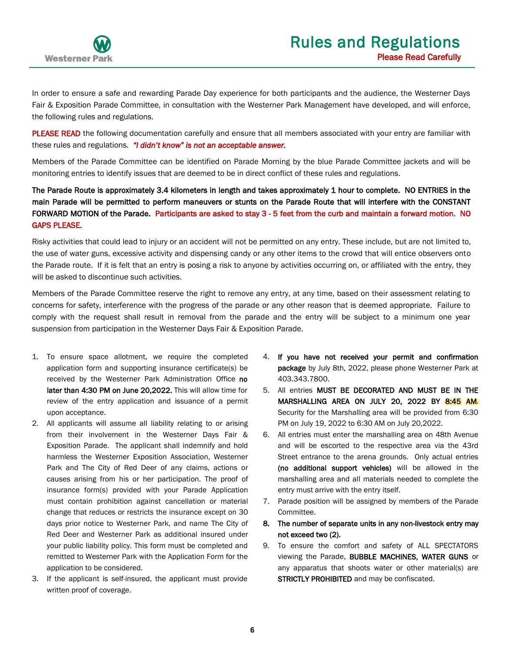

In order to ensure a safe and rewarding Parade Day experience for both participants and the audience, the Westerner Days Fair & Exposition Parade Committee, in consultation with the Westerner Park Management have developed, and will enforce, the following rules and regulations.

PLEASE READ the following documentation carefully and ensure that all members associated with your entry are familiar with these rules and regulations*. "I didn't know" is not an acceptable answer.* 

Members of the Parade Committee can be identified on Parade Morning by the blue Parade Committee jackets and will be monitoring entries to identify issues that are deemed to be in direct conflict of these rules and regulations.

## The Parade Route is approximately 3.4 kilometers in length and takes approximately 1 hour to complete. NO ENTRIES in the main Parade will be permitted to perform maneuvers or stunts on the Parade Route that will interfere with the CONSTANT FORWARD MOTION of the Parade. Participants are asked to stay 3 - 5 feet from the curb and maintain a forward motion. NO GAPS PLEASE.

Risky activities that could lead to injury or an accident will not be permitted on any entry. These include, but are not limited to, the use of water guns, excessive activity and dispensing candy or any other items to the crowd that will entice observers onto the Parade route. If it is felt that an entry is posing a risk to anyone by activities occurring on, or affiliated with the entry, they will be asked to discontinue such activities.

Members of the Parade Committee reserve the right to remove any entry, at any time, based on their assessment relating to concerns for safety, interference with the progress of the parade or any other reason that is deemed appropriate. Failure to comply with the request shall result in removal from the parade and the entry will be subject to a minimum one year suspension from participation in the Westerner Days Fair & Exposition Parade.

- 1. To ensure space allotment, we require the completed application form and supporting insurance certificate(s) be received by the Westerner Park Administration Office no later than 4:30 PM on June 20,2022. This will allow time for review of the entry application and issuance of a permit upon acceptance.
- 2. All applicants will assume all liability relating to or arising from their involvement in the Westerner Days Fair & Exposition Parade. The applicant shall indemnify and hold harmless the Westerner Exposition Association, Westerner Park and The City of Red Deer of any claims, actions or causes arising from his or her participation. The proof of insurance form(s) provided with your Parade Application must contain prohibition against cancellation or material change that reduces or restricts the insurance except on 30 days prior notice to Westerner Park, and name The City of Red Deer and Westerner Park as additional insured under your public liability policy. This form must be completed and remitted to Westerner Park with the Application Form for the application to be considered.
- 3. If the applicant is self-insured, the applicant must provide written proof of coverage.
- 4. If you have not received your permit and confirmation package by July 8th, 2022, please phone Westerner Park at 403.343.7800.
- 5. All entries MUST BE DECORATED AND MUST BE IN THE MARSHALLING AREA ON JULY 20, 2022 BY 8:45 AM. Security for the Marshalling area will be provided from 6:30 PM on July 19, 2022 to 6:30 AM on July 20,2022.
- 6. All entries must enter the marshalling area on 48th Avenue and will be escorted to the respective area via the 43rd Street entrance to the arena grounds. Only actual entries (no additional support vehicles) will be allowed in the marshalling area and all materials needed to complete the entry must arrive with the entry itself.
- 7. Parade position will be assigned by members of the Parade Committee.
- 8. The number of separate units in any non-livestock entry may not exceed two (2).
- 9. To ensure the comfort and safety of ALL SPECTATORS viewing the Parade, BUBBLE MACHINES, WATER GUNS or any apparatus that shoots water or other material(s) are **STRICTLY PROHIBITED** and may be confiscated.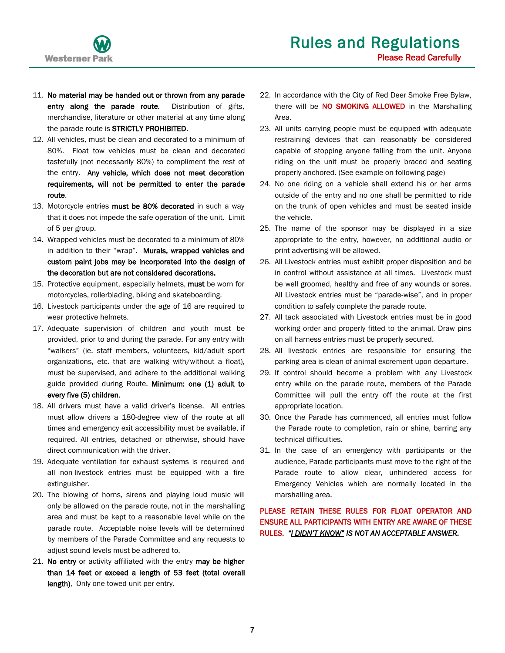- 11. No material may be handed out or thrown from any parade entry along the parade route. Distribution of gifts, merchandise, literature or other material at any time along the parade route is **STRICTLY PROHIBITED.**
- 12. All vehicles, must be clean and decorated to a minimum of 80%. Float tow vehicles must be clean and decorated tastefully (not necessarily 80%) to compliment the rest of the entry. Any vehicle, which does not meet decoration requirements, will not be permitted to enter the parade route.
- 13. Motorcycle entries must be 80% decorated in such a way that it does not impede the safe operation of the unit. Limit of 5 per group.
- 14. Wrapped vehicles must be decorated to a minimum of 80% in addition to their "wrap". Murals, wrapped vehicles and custom paint jobs may be incorporated into the design of the decoration but are not considered decorations.
- 15. Protective equipment, especially helmets, must be worn for motorcycles, rollerblading, biking and skateboarding.
- 16. Livestock participants under the age of 16 are required to wear protective helmets.
- 17. Adequate supervision of children and youth must be provided, prior to and during the parade. For any entry with "walkers" (ie. staff members, volunteers, kid/adult sport organizations, etc. that are walking with/without a float), must be supervised, and adhere to the additional walking guide provided during Route. Minimum: one (1) adult to every five (5) children.
- 18. All drivers must have a valid driver's license. All entries must allow drivers a 180-degree view of the route at all times and emergency exit accessibility must be available, if required. All entries, detached or otherwise, should have direct communication with the driver.
- 19. Adequate ventilation for exhaust systems is required and all non-livestock entries must be equipped with a fire extinguisher.
- 20. The blowing of horns, sirens and playing loud music will only be allowed on the parade route, not in the marshalling area and must be kept to a reasonable level while on the parade route. Acceptable noise levels will be determined by members of the Parade Committee and any requests to adjust sound levels must be adhered to.
- 21. No entry or activity affiliated with the entry may be higher than 14 feet or exceed a length of 53 feet (total overall length). Only one towed unit per entry.
- 22. In accordance with the City of Red Deer Smoke Free Bylaw, there will be NO SMOKING ALLOWED in the Marshalling Area.
- 23. All units carrying people must be equipped with adequate restraining devices that can reasonably be considered capable of stopping anyone falling from the unit. Anyone riding on the unit must be properly braced and seating properly anchored. (See example on following page)
- 24. No one riding on a vehicle shall extend his or her arms outside of the entry and no one shall be permitted to ride on the trunk of open vehicles and must be seated inside the vehicle.
- 25. The name of the sponsor may be displayed in a size appropriate to the entry, however, no additional audio or print advertising will be allowed.
- 26. All Livestock entries must exhibit proper disposition and be in control without assistance at all times. Livestock must be well groomed, healthy and free of any wounds or sores. All Livestock entries must be "parade-wise", and in proper condition to safely complete the parade route.
- 27. All tack associated with Livestock entries must be in good working order and properly fitted to the animal. Draw pins on all harness entries must be properly secured.
- 28. All livestock entries are responsible for ensuring the parking area is clean of animal excrement upon departure.
- 29. If control should become a problem with any Livestock entry while on the parade route, members of the Parade Committee will pull the entry off the route at the first appropriate location.
- 30. Once the Parade has commenced, all entries must follow the Parade route to completion, rain or shine, barring any technical difficulties.
- 31. In the case of an emergency with participants or the audience, Parade participants must move to the right of the Parade route to allow clear, unhindered access for Emergency Vehicles which are normally located in the marshalling area.

## PLEASE RETAIN THESE RULES FOR FLOAT OPERATOR AND ENSURE ALL PARTICIPANTS WITH ENTRY ARE AWARE OF THESE RULES. *"I DIDN'T KNOW" IS NOT AN ACCEPTABLE ANSWER.*